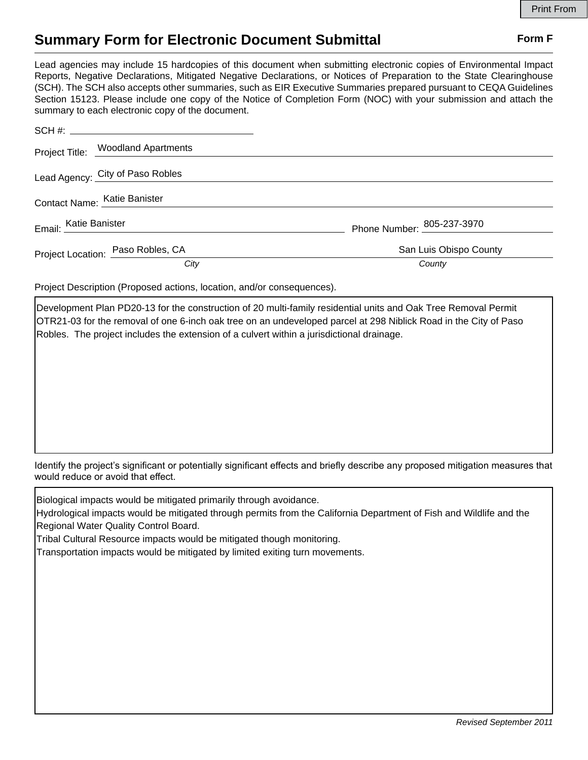## **Summary Form for Electronic Document Submittal Form F Form F**

Lead agencies may include 15 hardcopies of this document when submitting electronic copies of Environmental Impact Reports, Negative Declarations, Mitigated Negative Declarations, or Notices of Preparation to the State Clearinghouse (SCH). The SCH also accepts other summaries, such as EIR Executive Summaries prepared pursuant to CEQA Guidelines Section 15123. Please include one copy of the Notice of Completion Form (NOC) with your submission and attach the summary to each electronic copy of the document.

|                       | Project Title: Woodland Apartments |                            |
|-----------------------|------------------------------------|----------------------------|
|                       | Lead Agency: City of Paso Robles   |                            |
|                       | Contact Name: Katie Banister       |                            |
| Email: Katie Banister |                                    | Phone Number: 805-237-3970 |
|                       | Project Location: Paso Robles, CA  | San Luis Obispo County     |
|                       | City                               | County                     |

Project Description (Proposed actions, location, and/or consequences).

Development Plan PD20-13 for the construction of 20 multi-family residential units and Oak Tree Removal Permit OTR21-03 for the removal of one 6-inch oak tree on an undeveloped parcel at 298 Niblick Road in the City of Paso Robles. The project includes the extension of a culvert within a jurisdictional drainage.

Identify the project's significant or potentially significant effects and briefly describe any proposed mitigation measures that would reduce or avoid that effect.

Biological impacts would be mitigated primarily through avoidance.

Hydrological impacts would be mitigated through permits from the California Department of Fish and Wildlife and the Regional Water Quality Control Board.

Tribal Cultural Resource impacts would be mitigated though monitoring.

Transportation impacts would be mitigated by limited exiting turn movements.